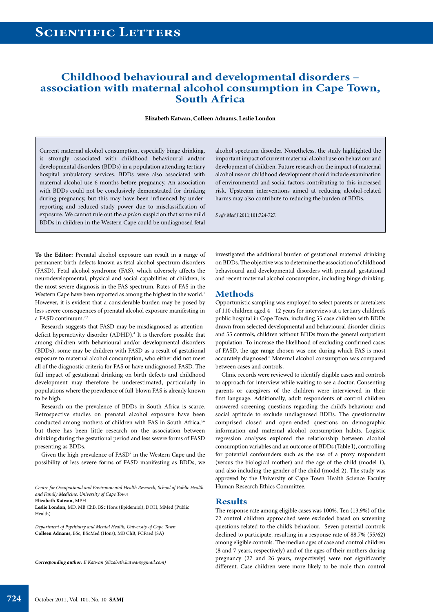## **Childhood behavioural and developmental disorders – association with maternal alcohol consumption in Cape Town, South Africa**

**Elizabeth Katwan, Colleen Adnams, Leslie London**

Current maternal alcohol consumption, especially binge drinking, is strongly associated with childhood behavioural and/or developmental disorders (BDDs) in a population attending tertiary hospital ambulatory services. BDDs were also associated with maternal alcohol use 6 months before pregnancy. An association with BDDs could not be conclusively demonstrated for drinking during pregnancy, but this may have been influenced by underreporting and reduced study power due to misclassification of exposure. We cannot rule out the *a priori* suspicion that some mild BDDs in children in the Western Cape could be undiagnosed fetal

alcohol spectrum disorder. Nonetheless, the study highlighted the important impact of current maternal alcohol use on behaviour and development of children. Future research on the impact of maternal alcohol use on childhood development should include examination of environmental and social factors contributing to this increased risk. Upstream interventions aimed at reducing alcohol-related harms may also contribute to reducing the burden of BDDs.

*S Afr Med J* 2011;101:724-727.

**To the Editor:** Prenatal alcohol exposure can result in a range of permanent birth defects known as fetal alcohol spectrum disorders (FASD). Fetal alcohol syndrome (FAS), which adversely affects the neurodevelopmental, physical and social capabilities of children, is the most severe diagnosis in the FAS spectrum. Rates of FAS in the Western Cape have been reported as among the highest in the world.<sup>1</sup> However, it is evident that a considerable burden may be posed by less severe consequences of prenatal alcohol exposure manifesting in a FASD continuum.<sup>2,3</sup>

Research suggests that FASD may be misdiagnosed as attentiondeficit hyperactivity disorder (ADHD).<sup>4</sup> It is therefore possible that among children with behavioural and/or developmental disorders (BDDs), some may be children with FASD as a result of gestational exposure to maternal alcohol consumption, who either did not meet all of the diagnostic criteria for FAS or have undiagnosed FASD. The full impact of gestational drinking on birth defects and childhood development may therefore be underestimated, particularly in populations where the prevalence of full-blown FAS is already known to be high.

Research on the prevalence of BDDs in South Africa is scarce. Retrospective studies on prenatal alcohol exposure have been conducted among mothers of children with FAS in South Africa,<sup>5,6</sup> but there has been little research on the association between drinking during the gestational period and less severe forms of FASD presenting as BDDs.

Given the high prevalence of FASD<sup>7</sup> in the Western Cape and the possibility of less severe forms of FASD manifesting as BDDs, we

**Elizabeth Katwan,** MPH

*Department of Psychiatry and Mental Health, University of Cape Town* **Colleen Adnams,** BSc, BScMed (Hons), MB ChB, FCPaed (SA)

*Corresponding author: E Katwan (elizabeth.katwan@gmail.com)*

investigated the additional burden of gestational maternal drinking on BDDs. The objective was to determine the association of childhood behavioural and developmental disorders with prenatal, gestational and recent maternal alcohol consumption, including binge drinking.

#### **Methods**

Opportunistic sampling was employed to select parents or caretakers of 110 children aged 4 - 12 years for interviews at a tertiary children's public hospital in Cape Town, including 55 case children with BDDs drawn from selected developmental and behavioural disorder clinics and 55 controls, children without BDDs from the general outpatient population. To increase the likelihood of excluding confirmed cases of FASD, the age range chosen was one during which FAS is most accurately diagnosed.<sup>8</sup> Maternal alcohol consumption was compared between cases and controls.

Clinic records were reviewed to identify eligible cases and controls to approach for interview while waiting to see a doctor. Consenting parents or caregivers of the children were interviewed in their first language. Additionally, adult respondents of control children answered screening questions regarding the child's behaviour and social aptitude to exclude undiagnosed BDDs. The questionnaire comprised closed and open-ended questions on demographic information and maternal alcohol consumption habits. Logistic regression analyses explored the relationship between alcohol consumption variables and an outcome of BDDs (Table I), controlling for potential confounders such as the use of a proxy respondent (versus the biological mother) and the age of the child (model 1), and also including the gender of the child (model 2). The study was approved by the University of Cape Town Health Science Faculty Human Research Ethics Committee.

#### **Results**

The response rate among eligible cases was 100%. Ten (13.9%) of the 72 control children approached were excluded based on screening questions related to the child's behaviour. Seven potential controls declined to participate, resulting in a response rate of 88.7% (55/62) among eligible controls. The median ages of case and control children (8 and 7 years, respectively) and of the ages of their mothers during pregnancy (27 and 26 years, respectively) were not significantly different. Case children were more likely to be male than control

*Centre for Occupational and Environmental Health Research, School of Public Health and Family Medicine, University of Cape Town*

**Leslie London,** MD, MB ChB, BSc Hons (Epidemiol), DOH, MMed (Public Health)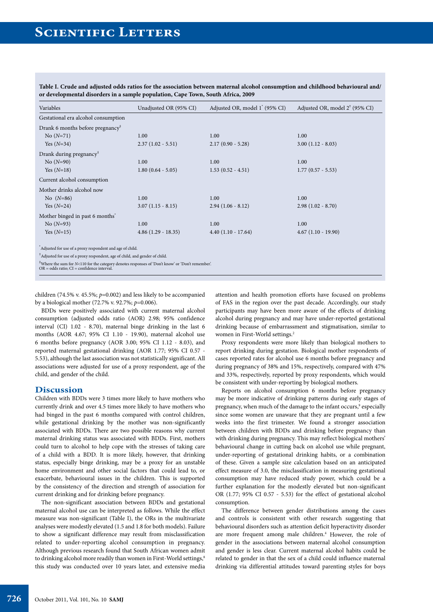| Gestational era alcohol consumption<br>Drank 6 months before pregnancy $*$<br>$No(N=71)$<br>1.00<br>1.00<br>1.00<br>$2.37(1.02 - 5.51)$<br>$2.17(0.90 - 5.28)$<br>$3.00(1.12 - 8.03)$<br>Yes $(N=34)$<br>Drank during pregnancy <sup>#</sup><br>$No (N=90)$<br>1.00<br>1.00<br>1.00<br>$1.53(0.52 - 4.51)$<br>Yes $(N=18)$<br>$1.80(0.64 - 5.05)$<br>$1.77(0.57 - 5.53)$<br>Current alcohol consumption<br>Mother drinks alcohol now<br>No $(N=86)$<br>1.00<br>1.00<br>1.00<br>$3.07(1.15 - 8.15)$<br>$2.98(1.02 - 8.70)$<br>Yes $(N=24)$<br>$2.94(1.06 - 8.12)$<br>Mother binged in past 6 months <sup>*</sup><br>No $(N=93)$<br>1.00<br>1.00<br>1.00 | Variables                                                                                                                              | Unadjusted OR (95% CI) | Adjusted OR, model 1 <sup>*</sup> (95% CI) | Adjusted OR, model 2 <sup>†</sup> (95% CI) |
|--------------------------------------------------------------------------------------------------------------------------------------------------------------------------------------------------------------------------------------------------------------------------------------------------------------------------------------------------------------------------------------------------------------------------------------------------------------------------------------------------------------------------------------------------------------------------------------------------------------------------------------------------------|----------------------------------------------------------------------------------------------------------------------------------------|------------------------|--------------------------------------------|--------------------------------------------|
|                                                                                                                                                                                                                                                                                                                                                                                                                                                                                                                                                                                                                                                        |                                                                                                                                        |                        |                                            |                                            |
|                                                                                                                                                                                                                                                                                                                                                                                                                                                                                                                                                                                                                                                        |                                                                                                                                        |                        |                                            |                                            |
|                                                                                                                                                                                                                                                                                                                                                                                                                                                                                                                                                                                                                                                        |                                                                                                                                        |                        |                                            |                                            |
|                                                                                                                                                                                                                                                                                                                                                                                                                                                                                                                                                                                                                                                        |                                                                                                                                        |                        |                                            |                                            |
|                                                                                                                                                                                                                                                                                                                                                                                                                                                                                                                                                                                                                                                        |                                                                                                                                        |                        |                                            |                                            |
|                                                                                                                                                                                                                                                                                                                                                                                                                                                                                                                                                                                                                                                        |                                                                                                                                        |                        |                                            |                                            |
|                                                                                                                                                                                                                                                                                                                                                                                                                                                                                                                                                                                                                                                        |                                                                                                                                        |                        |                                            |                                            |
|                                                                                                                                                                                                                                                                                                                                                                                                                                                                                                                                                                                                                                                        |                                                                                                                                        |                        |                                            |                                            |
|                                                                                                                                                                                                                                                                                                                                                                                                                                                                                                                                                                                                                                                        |                                                                                                                                        |                        |                                            |                                            |
|                                                                                                                                                                                                                                                                                                                                                                                                                                                                                                                                                                                                                                                        |                                                                                                                                        |                        |                                            |                                            |
|                                                                                                                                                                                                                                                                                                                                                                                                                                                                                                                                                                                                                                                        |                                                                                                                                        |                        |                                            |                                            |
|                                                                                                                                                                                                                                                                                                                                                                                                                                                                                                                                                                                                                                                        |                                                                                                                                        |                        |                                            |                                            |
|                                                                                                                                                                                                                                                                                                                                                                                                                                                                                                                                                                                                                                                        |                                                                                                                                        |                        |                                            |                                            |
| $4.86(1.29 - 18.35)$<br>$4.67(1.10 - 19.90)$<br>Yes $(N=15)$<br>$4.40(1.10 - 17.64)$                                                                                                                                                                                                                                                                                                                                                                                                                                                                                                                                                                   |                                                                                                                                        |                        |                                            |                                            |
|                                                                                                                                                                                                                                                                                                                                                                                                                                                                                                                                                                                                                                                        | Adjusted for use of a proxy respondent and age of child.<br>Adjusted for use of a proxy respondent, age of child, and gender of child. |                        |                                            |                                            |

**Table I. Crude and adjusted odds ratios for the association between maternal alcohol consumption and childhood behavioural and/ or developmental disorders in a sample population, Cape Town, South Africa, 2009**

‡ Where the sum for *N*<110 for the category denotes responses of 'Don't know' or 'Don't remember'. OR = odds ratio; CI = confidence interval.

children (74.5% v. 45.5%; *p*=0.002) and less likely to be accompanied by a biological mother (72.7% v. 92.7%; *p*=0.006).

BDDs were positively associated with current maternal alcohol consumption (adjusted odds ratio (AOR) 2.98; 95% confidence interval (CI) 1.02 - 8.70), maternal binge drinking in the last 6 months (AOR 4.67; 95% CI 1.10 - 19.90), maternal alcohol use 6 months before pregnancy (AOR 3.00; 95% CI 1.12 - 8.03), and reported maternal gestational drinking (AOR 1.77; 95% CI 0.57 - 5.53), although the last association was not statistically significant. All associations were adjusted for use of a proxy respondent, age of the child, and gender of the child.

### **Discussion**

Children with BDDs were 3 times more likely to have mothers who currently drink and over 4.5 times more likely to have mothers who had binged in the past 6 months compared with control children, while gestational drinking by the mother was non-significantly associated with BDDs. There are two possible reasons why current maternal drinking status was associated with BDDs. First, mothers could turn to alcohol to help cope with the stresses of taking care of a child with a BDD. It is more likely, however, that drinking status, especially binge drinking, may be a proxy for an unstable home environment and other social factors that could lead to, or exacerbate, behavioural issues in the children. This is supported by the consistency of the direction and strength of association for current drinking and for drinking before pregnancy.

The non-significant association between BDDs and gestational maternal alcohol use can be interpreted as follows. While the effect measure was non-significant (Table I), the ORs in the multivariate analyses were modestly elevated (1.5 and 1.8 for both models). Failure to show a significant difference may result from misclassification related to under-reporting alcohol consumption in pregnancy. Although previous research found that South African women admit to drinking alcohol more readily than women in First-World settings,<sup>8</sup> this study was conducted over 10 years later, and extensive media

attention and health promotion efforts have focused on problems of FAS in the region over the past decade. Accordingly, our study participants may have been more aware of the effects of drinking alcohol during pregnancy and may have under-reported gestational drinking because of embarrassment and stigmatisation, similar to women in First-World settings.<sup>2</sup>

Proxy respondents were more likely than biological mothers to report drinking during gestation. Biological mother respondents of cases reported rates for alcohol use 6 months before pregnancy and during pregnancy of 38% and 15%, respectively, compared with 47% and 33%, respectively, reported by proxy respondents, which would be consistent with under-reporting by biological mothers.

Reports on alcohol consumption 6 months before pregnancy may be more indicative of drinking patterns during early stages of pregnancy, when much of the damage to the infant occurs,<sup>9</sup> especially since some women are unaware that they are pregnant until a few weeks into the first trimester. We found a stronger association between children with BDDs and drinking before pregnancy than with drinking during pregnancy. This may reflect biological mothers' behavioural change in cutting back on alcohol use while pregnant, under-reporting of gestational drinking habits, or a combination of these. Given a sample size calculation based on an anticipated effect measure of 3.0, the misclassification in measuring gestational consumption may have reduced study power, which could be a further explanation for the modestly elevated but non-significant OR (1.77; 95% CI 0.57 - 5.53) for the effect of gestational alcohol consumption.

The difference between gender distributions among the cases and controls is consistent with other research suggesting that behavioural disorders such as attention deficit hyperactivity disorder are more frequent among male children.<sup>4</sup> However, the role of gender in the associations between maternal alcohol consumption and gender is less clear. Current maternal alcohol habits could be related to gender in that the sex of a child could influence maternal drinking via differential attitudes toward parenting styles for boys